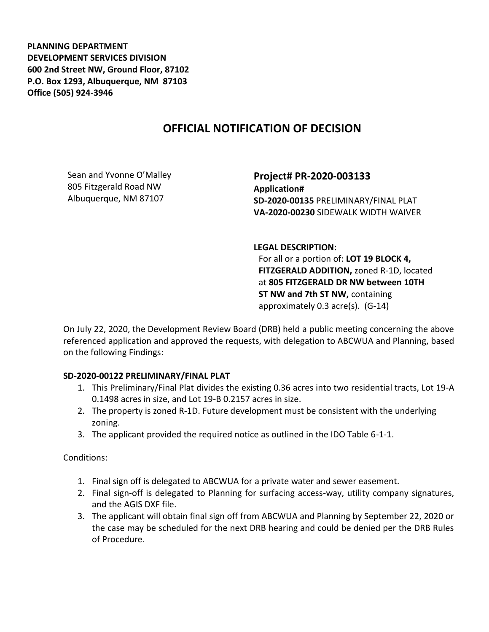**PLANNING DEPARTMENT DEVELOPMENT SERVICES DIVISION 600 2nd Street NW, Ground Floor, 87102 P.O. Box 1293, Albuquerque, NM 87103 Office (505) 924-3946** 

## **OFFICIAL NOTIFICATION OF DECISION**

Sean and Yvonne O'Malley 805 Fitzgerald Road NW Albuquerque, NM 87107

**Project# PR-2020-003133 Application# SD-2020-00135** PRELIMINARY/FINAL PLAT **VA-2020-00230** SIDEWALK WIDTH WAIVER

**LEGAL DESCRIPTION:**

For all or a portion of: **LOT 19 BLOCK 4, FITZGERALD ADDITION,** zoned R-1D, located at **805 FITZGERALD DR NW between 10TH ST NW and 7th ST NW,** containing approximately 0.3 acre(s). (G-14)

On July 22, 2020, the Development Review Board (DRB) held a public meeting concerning the above referenced application and approved the requests, with delegation to ABCWUA and Planning, based on the following Findings:

## **SD-2020-00122 PRELIMINARY/FINAL PLAT**

- 1. This Preliminary/Final Plat divides the existing 0.36 acres into two residential tracts, Lot 19-A 0.1498 acres in size, and Lot 19-B 0.2157 acres in size.
- 2. The property is zoned R-1D. Future development must be consistent with the underlying zoning.
- 3. The applicant provided the required notice as outlined in the IDO Table 6-1-1.

Conditions:

- 1. Final sign off is delegated to ABCWUA for a private water and sewer easement.
- 2. Final sign-off is delegated to Planning for surfacing access-way, utility company signatures, and the AGIS DXF file.
- 3. The applicant will obtain final sign off from ABCWUA and Planning by September 22, 2020 or the case may be scheduled for the next DRB hearing and could be denied per the DRB Rules of Procedure.